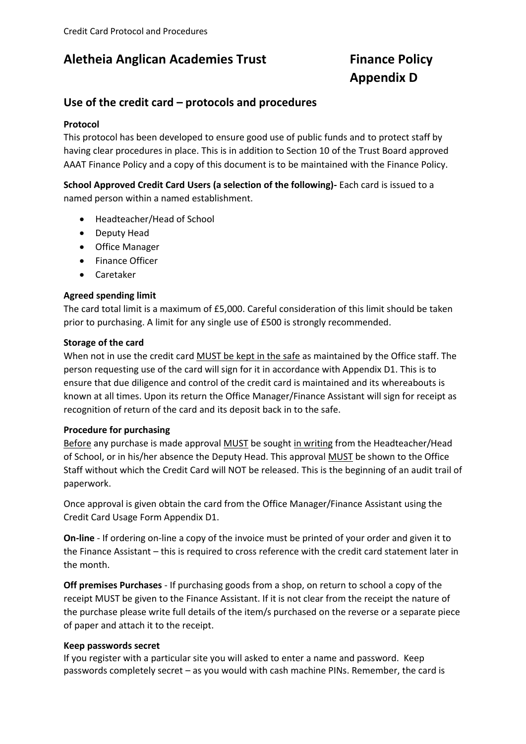## **Aletheia Anglican Academies Trust Finance Policy**

# **Appendix D**

### **Use of the credit card – protocols and procedures**

#### **Protocol**

This protocol has been developed to ensure good use of public funds and to protect staff by having clear procedures in place. This is in addition to Section 10 of the Trust Board approved AAAT Finance Policy and a copy of this document is to be maintained with the Finance Policy.

**School Approved Credit Card Users (a selection of the following)-** Each card is issued to a named person within a named establishment.

- Headteacher/Head of School
- Deputy Head
- Office Manager
- Finance Officer
- Caretaker

#### **Agreed spending limit**

The card total limit is a maximum of £5,000. Careful consideration of this limit should be taken prior to purchasing. A limit for any single use of £500 is strongly recommended.

#### **Storage of the card**

When not in use the credit card MUST be kept in the safe as maintained by the Office staff. The person requesting use of the card will sign for it in accordance with Appendix D1. This is to ensure that due diligence and control of the credit card is maintained and its whereabouts is known at all times. Upon its return the Office Manager/Finance Assistant will sign for receipt as recognition of return of the card and its deposit back in to the safe.

#### **Procedure for purchasing**

Before any purchase is made approval MUST be sought in writing from the Headteacher/Head of School, or in his/her absence the Deputy Head. This approval MUST be shown to the Office Staff without which the Credit Card will NOT be released. This is the beginning of an audit trail of paperwork.

Once approval is given obtain the card from the Office Manager/Finance Assistant using the Credit Card Usage Form Appendix D1.

**On-line** - If ordering on-line a copy of the invoice must be printed of your order and given it to the Finance Assistant – this is required to cross reference with the credit card statement later in the month.

**Off premises Purchases** - If purchasing goods from a shop, on return to school a copy of the receipt MUST be given to the Finance Assistant. If it is not clear from the receipt the nature of the purchase please write full details of the item/s purchased on the reverse or a separate piece of paper and attach it to the receipt.

#### **Keep passwords secret**

If you register with a particular site you will asked to enter a name and password. Keep passwords completely secret – as you would with cash machine PINs. Remember, the card is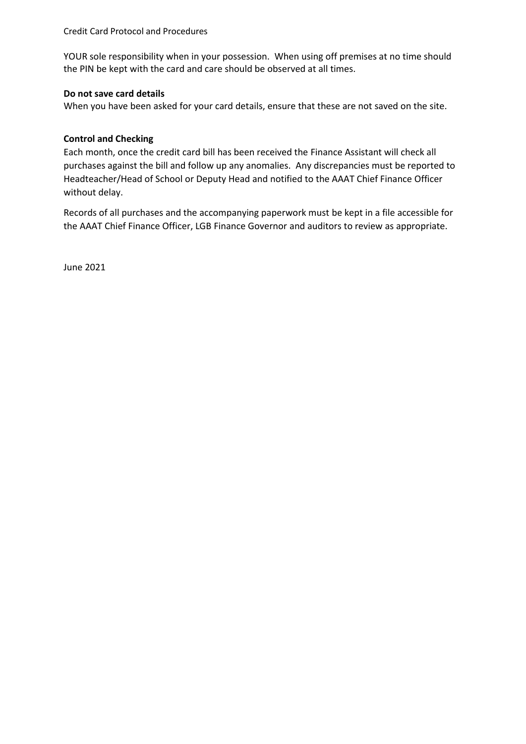Credit Card Protocol and Procedures

YOUR sole responsibility when in your possession. When using off premises at no time should the PIN be kept with the card and care should be observed at all times.

#### **Do not save card details**

When you have been asked for your card details, ensure that these are not saved on the site.

#### **Control and Checking**

Each month, once the credit card bill has been received the Finance Assistant will check all purchases against the bill and follow up any anomalies. Any discrepancies must be reported to Headteacher/Head of School or Deputy Head and notified to the AAAT Chief Finance Officer without delay.

Records of all purchases and the accompanying paperwork must be kept in a file accessible for the AAAT Chief Finance Officer, LGB Finance Governor and auditors to review as appropriate.

June 2021